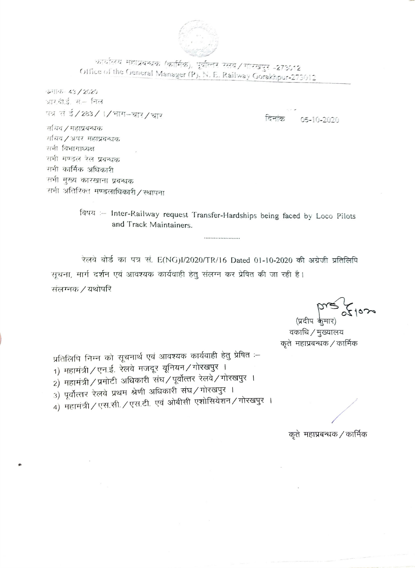

कार्यालय महाप्रबन्धक (कार्मिक), पूर्वात्तर रेलवे / गोरखपुर -273612 Office of the General Manager (P), N. E. Railway Gorakhpur-273012

 $51165 - 43 / 2020$ आरबीई, सें– निल पत्र सं ई/283/1/भाग-चार/चार

टिनांक  $05 - 10 - 2020$ 

र्मायव / महाप्रबन्धक राचिव / अपर महाप्रबन्धक गयी विभागाध्यक्ष सभी मण्डल रेल प्रबन्धक सभी कार्मिक अधिकारी सभी मुख्य कारखाना प्रवन्धक सभी अतिरिक्त मण्डलाधिकारी/स्थापना

> विषय :- Inter-Railway request Transfer-Hardships being faced by Loco Pilots and Track Maintainers.

रेलवे बोर्ड का पत्र सं. E(NG)I/2020/TR/16 Dated 01-10-2020 की अग्रेजी प्रतिलिपि सूचना, मार्ग दर्शन एवं आवश्यक कार्यवाही हेतू संलग्न कर प्रेषित की जा रही है। संलग्नक / यथोपरि

(प्रदीप केमार)

वकाधि / मुख्यालय कृते) महाप्रबन्धक / कार्मिक

प्रतिलिपि निम्न को सूचनार्थ एवं आवश्यक कार्यवाही हेतु प्रेषित :-1) महामंत्री / एन.ई. रेलवे मजदूर यूनियन / गोरखपुर । 2) महामंत्री / प्रमोटी अधिकारी संघ / पूर्वोत्तर रेलवे / गोरखपुर । 3) पूर्वोत्तर रेलवे प्रथम श्रेणी अधिकारी संघ/गोरखपुर । 4) महामंत्री / एस.सी. / एस.टी. एवं ओबीसी एशोसियेशन / गोरखपुर ।

कृते) महाप्रबन्धक / कार्मिक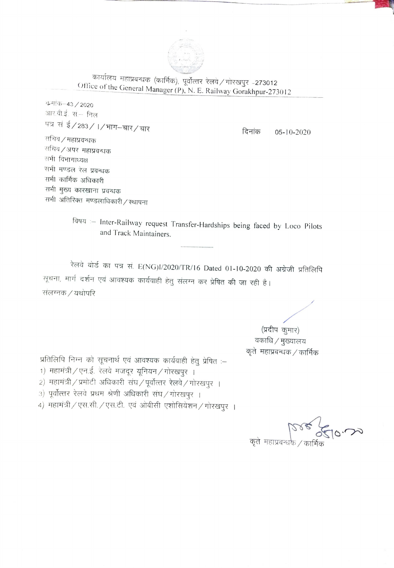

कार्यालय महाप्रबन्धक (कार्मिक), पूर्वोत्तर रेलवे / गोरखपुर -273012 Office of the General Manager (P), N. E. Railway Gorakhpur-273012

कमांक-43 / 2020 आर.वी.ई. सं.- निल पत्र सं ई/283/1/भाग-चार/चार

दिनांक 05-10-2020

सचिव / महाप्रवन्धक सचिव ⁄ अपर महाप्रवन्धक सभी विभागाध्यक्ष सभी मण्डल रेल प्रबन्धक सभी कार्मिक अधिकारी सभी मुख्य कारखाना प्रवन्धक सभी अतिरिक्त मण्डलाधिकारी / स्थापना

> विषय :- Inter-Railway request Transfer-Hardships being faced by Loco Pilots and Track Maintainers.

रेलवे बोर्ड का पत्र सं. E(NG)I/2020/TR/16 Dated 01-10-2020 की अग्रेजी प्रतिलिपि सूचना, मार्ग दर्शन एवं आवश्यक कार्यवाही हेतु संलग्न कर प्रेषित की जा रही है। संलग्नक / यथोपरि

> (प्रदीप कुमार) वकाधि / मुख्यालय कृते महाप्रबन्धक / कार्मिक

प्रतिलिपि निम्न को सूचनार्थ एवं आवश्यक कार्यवाही हेतु प्रेषित :-

- 1) महामंत्री / एन.ई. रेलवे मजदूर यूनियन / गोरखपुर ।
- 2) महामंत्री / प्रमोटी अधिकारी संघ / पूर्वोत्तर रेलवे / गोरखपुर ।
- 3) पूर्वोत्तर रेलवे प्रथम श्रेणी अधिकारी संघ/गोरखपुर ।

4) महामंत्री / एस.सी. / एस.टी. एवं ओबीसी एशोसियेशन / गोरखपुर ।

कृते महाप्रबन्धके / कार्मि